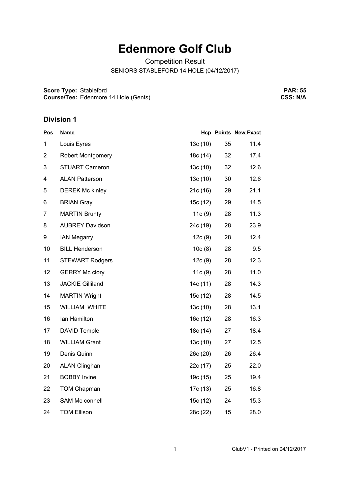## **Edenmore Golf Club**

Competition Result

SENIORS STABLEFORD 14 HOLE (04/12/2017)

**Score Type: Course/Tee:** Stableford Edenmore 14 Hole (Gents)

**PAR: 55 CSS: N/A**

## **Division 1**

| <u>Pos</u>     | <b>Name</b>              |          |    | <b>Hcp Points New Exact</b> |
|----------------|--------------------------|----------|----|-----------------------------|
| 1              | Louis Eyres              | 13c (10) | 35 | 11.4                        |
| $\overline{2}$ | <b>Robert Montgomery</b> | 18c (14) | 32 | 17.4                        |
| 3              | <b>STUART Cameron</b>    | 13c(10)  | 32 | 12.6                        |
| 4              | <b>ALAN Patterson</b>    | 13c(10)  | 30 | 12.6                        |
| 5              | <b>DEREK Mc kinley</b>   | 21c(16)  | 29 | 21.1                        |
| 6              | <b>BRIAN Gray</b>        | 15c (12) | 29 | 14.5                        |
| $\overline{7}$ | <b>MARTIN Brunty</b>     | 11c(9)   | 28 | 11.3                        |
| 8              | <b>AUBREY Davidson</b>   | 24c (19) | 28 | 23.9                        |
| 9              | <b>IAN Megarry</b>       | 12c(9)   | 28 | 12.4                        |
| 10             | <b>BILL Henderson</b>    | 10c(8)   | 28 | 9.5                         |
| 11             | <b>STEWART Rodgers</b>   | 12c(9)   | 28 | 12.3                        |
| 12             | <b>GERRY Mc clory</b>    | 11c(9)   | 28 | 11.0                        |
| 13             | <b>JACKIE Gilliland</b>  | 14c (11) | 28 | 14.3                        |
| 14             | <b>MARTIN Wright</b>     | 15c (12) | 28 | 14.5                        |
| 15             | <b>WILLIAM WHITE</b>     | 13c(10)  | 28 | 13.1                        |
| 16             | lan Hamilton             | 16c(12)  | 28 | 16.3                        |
| 17             | <b>DAVID Temple</b>      | 18c (14) | 27 | 18.4                        |
| 18             | <b>WILLIAM Grant</b>     | 13c (10) | 27 | 12.5                        |
| 19             | Denis Quinn              | 26c(20)  | 26 | 26.4                        |
| 20             | <b>ALAN Clinghan</b>     | 22c (17) | 25 | 22.0                        |
| 21             | <b>BOBBY Irvine</b>      | 19c (15) | 25 | 19.4                        |
| 22             | <b>TOM Chapman</b>       | 17c (13) | 25 | 16.8                        |
| 23             | SAM Mc connell           | 15c (12) | 24 | 15.3                        |
| 24             | <b>TOM Ellison</b>       | 28c (22) | 15 | 28.0                        |